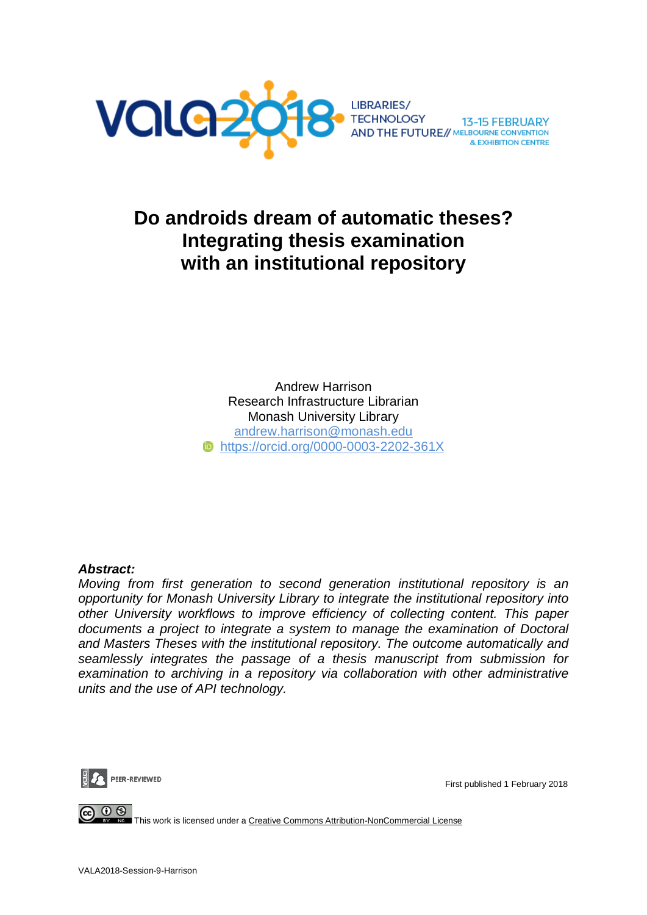

# **Do androids dream of automatic theses? Integrating thesis examination with an institutional repository**

Andrew Harrison Research Infrastructure Librarian Monash University Library andrew.harrison@monash.edu *b* <https://orcid.org/0000-0003-2202-361X>

### *Abstract:*

*Moving from first generation to second generation institutional repository is an opportunity for Monash University Library to integrate the institutional repository into other University workflows to improve efficiency of collecting content. This paper documents a project to integrate a system to manage the examination of Doctoral and Masters Theses with the institutional repository. The outcome automatically and seamlessly integrates the passage of a thesis manuscript from submission for examination to archiving in a repository via collaboration with other administrative units and the use of API technology.*



First published 1 February 2018

 $\circledcirc$ This work is licensed under a [Creative Commons Attribution-NonCommercial License](http://creativecommons.org/licenses/by-nc/4.0/)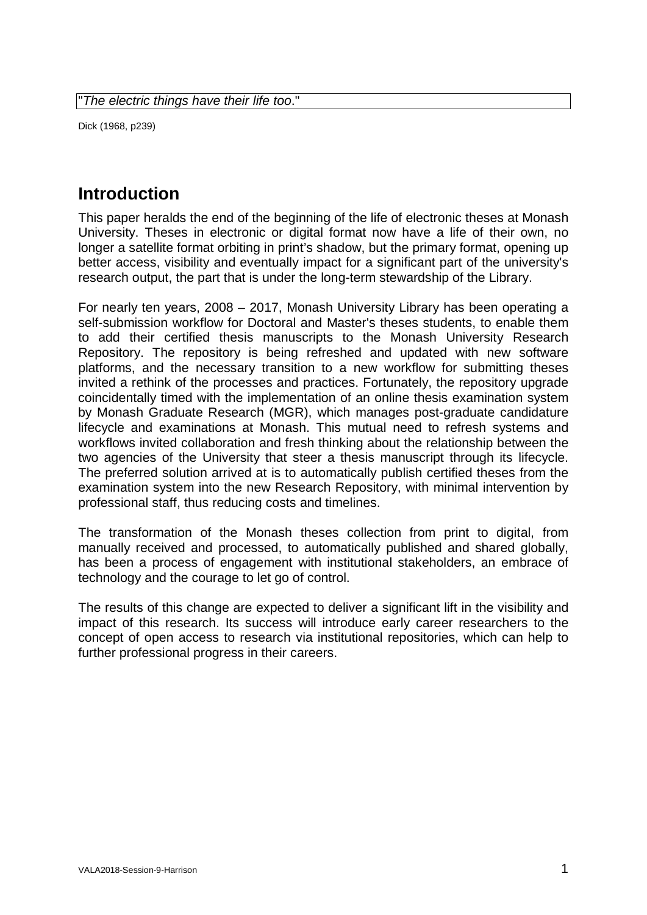Dick (1968, p239)

# **Introduction**

This paper heralds the end of the beginning of the life of electronic theses at Monash University. Theses in electronic or digital format now have a life of their own, no longer a satellite format orbiting in print's shadow, but the primary format, opening up better access, visibility and eventually impact for a significant part of the university's research output, the part that is under the long-term stewardship of the Library.

For nearly ten years, 2008 – 2017, Monash University Library has been operating a self-submission workflow for Doctoral and Master's theses students, to enable them to add their certified thesis manuscripts to the Monash University Research Repository. The repository is being refreshed and updated with new software platforms, and the necessary transition to a new workflow for submitting theses invited a rethink of the processes and practices. Fortunately, the repository upgrade coincidentally timed with the implementation of an online thesis examination system by Monash Graduate Research (MGR), which manages post-graduate candidature lifecycle and examinations at Monash. This mutual need to refresh systems and workflows invited collaboration and fresh thinking about the relationship between the two agencies of the University that steer a thesis manuscript through its lifecycle. The preferred solution arrived at is to automatically publish certified theses from the examination system into the new Research Repository, with minimal intervention by professional staff, thus reducing costs and timelines.

The transformation of the Monash theses collection from print to digital, from manually received and processed, to automatically published and shared globally, has been a process of engagement with institutional stakeholders, an embrace of technology and the courage to let go of control.

The results of this change are expected to deliver a significant lift in the visibility and impact of this research. Its success will introduce early career researchers to the concept of open access to research via institutional repositories, which can help to further professional progress in their careers.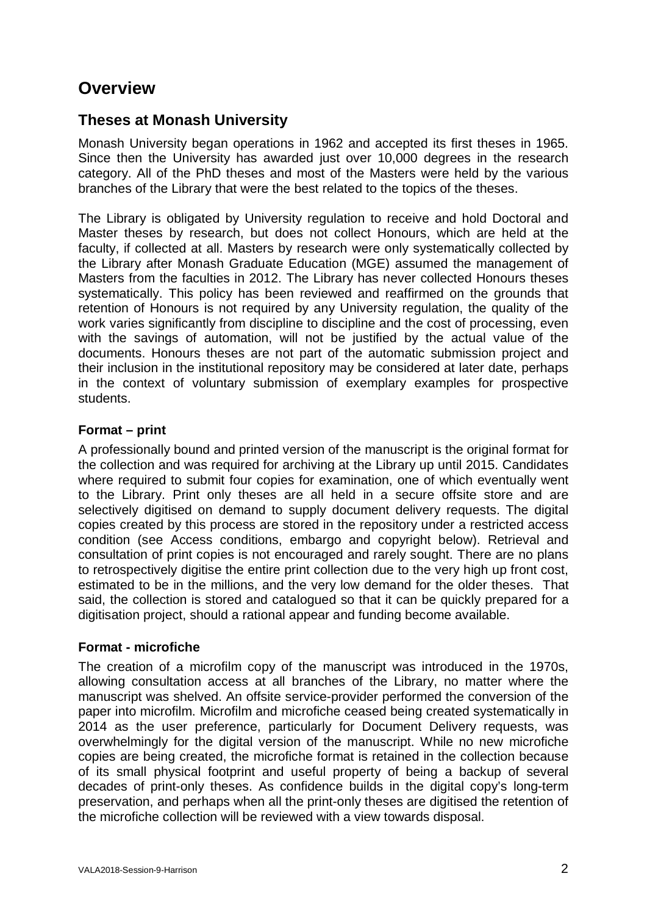# **Overview**

## **Theses at Monash University**

Monash University began operations in [1962](http://www.monash.edu/about/who/history) and accepted its first theses in 1965. Since then the University has awarded just over 10,000 degrees in the research category. All of the PhD theses and most of the Masters were held by the various branches of the Library that were the best related to the topics of the theses.

The Library is obligated by University regulation to receive and hold Doctoral and Master theses by research, but does not collect Honours, which are held at the faculty, if collected at all. Masters by research were only systematically collected by the Library after Monash Graduate Education (MGE) assumed the management of Masters from the faculties in 2012. The Library has never collected Honours theses systematically. This policy has been reviewed and reaffirmed on the grounds that retention of Honours is not required by any University regulation, the quality of the work varies significantly from discipline to discipline and the cost of processing, even with the savings of automation, will not be justified by the actual value of the documents. Honours theses are not part of the automatic submission project and their inclusion in the institutional repository may be considered at later date, perhaps in the context of voluntary submission of exemplary examples for prospective students.

### **Format – print**

A professionally bound and printed version of the manuscript is the original format for the collection and was required for archiving at the Library up until 2015. Candidates where required to submit four copies for examination, one of which eventually went to the Library. Print only theses are all held in a secure offsite store and are selectively digitised on demand to supply document delivery requests. The digital copies created by this process are stored in the repository under a restricted access condition (see Access conditions, embargo and copyright below). Retrieval and consultation of print copies is not encouraged and rarely sought. There are no plans to retrospectively digitise the entire print collection due to the very high up front cost, estimated to be in the millions, and the very low demand for the older theses. That said, the collection is stored and catalogued so that it can be quickly prepared for a digitisation project, should a rational appear and funding become available.

### **Format - microfiche**

The creation of a microfilm copy of the manuscript was introduced in the 1970s, allowing consultation access at all branches of the Library, no matter where the manuscript was shelved. An offsite service-provider performed the conversion of the paper into microfilm. Microfilm and microfiche ceased being created systematically in 2014 as the user preference, particularly for Document Delivery requests, was overwhelmingly for the digital version of the manuscript. While no new microfiche copies are being created, the microfiche format is retained in the collection because of its small physical footprint and useful property of being a backup of several decades of print-only theses. As confidence builds in the digital copy's long-term preservation, and perhaps when all the print-only theses are digitised the retention of the microfiche collection will be reviewed with a view towards disposal.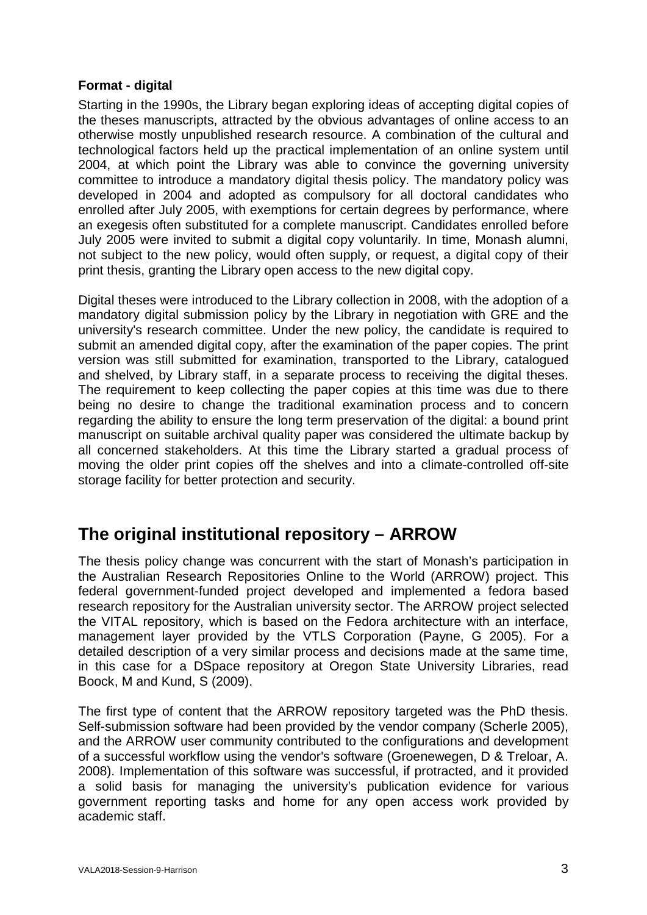### **Format - digital**

Starting in the 1990s, the Library began exploring ideas of accepting digital copies of the theses manuscripts, attracted by the obvious advantages of online access to an otherwise mostly unpublished research resource. A combination of the cultural and technological factors held up the practical implementation of an online system until 2004, at which point the Library was able to convince the governing university committee to introduce a mandatory digital thesis policy. The mandatory policy was developed in 2004 and adopted as compulsory for all doctoral candidates who enrolled after July 2005, with exemptions for certain degrees by performance, where an exegesis often substituted for a complete manuscript. Candidates enrolled before July 2005 were invited to submit a digital copy voluntarily. In time, Monash alumni, not subject to the new policy, would often supply, or request, a digital copy of their print thesis, granting the Library open access to the new digital copy.

Digital theses were introduced to the Library collection in 2008, with the adoption of a mandatory digital submission policy by the Library in negotiation with GRE and the university's research committee. Under the new policy, the candidate is required to submit an amended digital copy, after the examination of the paper copies. The print version was still submitted for examination, transported to the Library, catalogued and shelved, by Library staff, in a separate process to receiving the digital theses. The requirement to keep collecting the paper copies at this time was due to there being no desire to change the traditional examination process and to concern regarding the ability to ensure the long term preservation of the digital: a bound print manuscript on suitable archival quality paper was considered the ultimate backup by all concerned stakeholders. At this time the Library started a gradual process of moving the older print copies off the shelves and into a climate-controlled off-site storage facility for better protection and security.

# **The original institutional repository – ARROW**

The thesis policy change was concurrent with the start of Monash's participation in the Australian Research Repositories Online to the World (ARROW) project. This federal government-funded project developed and implemented a fedora based research repository for the Australian university sector. The ARROW project selected the VITAL repository, which is based on the Fedora architecture with an interface, management layer provided by the VTLS Corporation (Payne, G 2005). For a detailed description of a very similar process and decisions made at the same time, in this case for a DSpace repository at Oregon State University Libraries, read Boock, M and Kund, S (2009).

The first type of content that the ARROW repository targeted was the PhD thesis. Self-submission software had been provided by the vendor company (Scherle 2005), and the ARROW user community contributed to the configurations and development of a successful workflow using the vendor's software (Groenewegen, D & Treloar, A. 2008). Implementation of this software was successful, if protracted, and it provided a solid basis for managing the university's publication evidence for various government reporting tasks and home for any open access work provided by academic staff.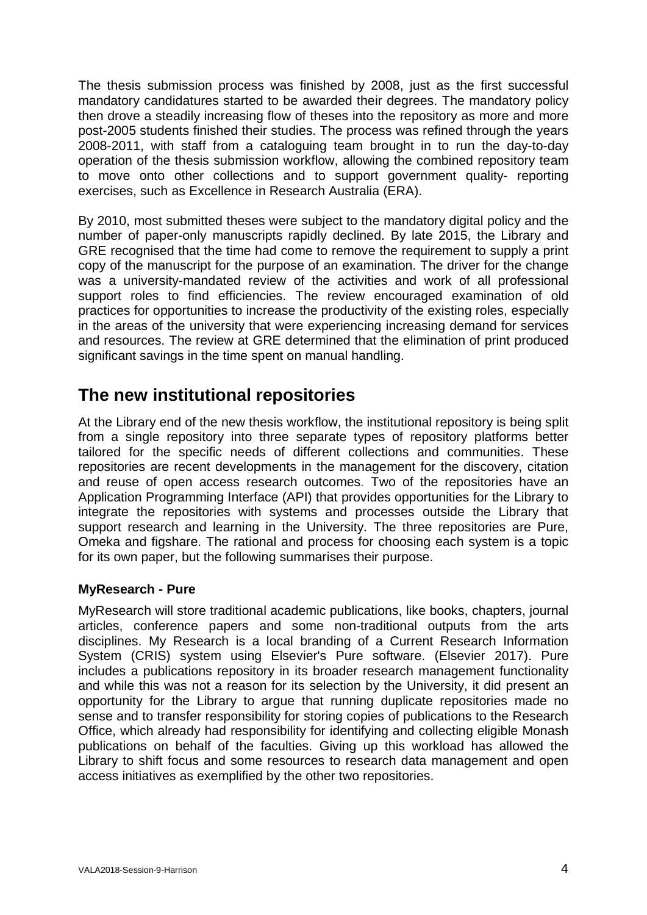The thesis submission process was finished by 2008, just as the first successful mandatory candidatures started to be awarded their degrees. The mandatory policy then drove a steadily increasing flow of theses into the repository as more and more post-2005 students finished their studies. The process was refined through the years 2008-2011, with staff from a cataloguing team brought in to run the day-to-day operation of the thesis submission workflow, allowing the combined repository team to move onto other collections and to support government quality- reporting exercises, such as Excellence in Research Australia (ERA).

By 2010, most submitted theses were subject to the mandatory digital policy and the number of paper-only manuscripts rapidly declined. By late 2015, the Library and GRE recognised that the time had come to remove the requirement to supply a print copy of the manuscript for the purpose of an examination. The driver for the change was a university-mandated review of the activities and work of all professional support roles to find efficiencies. The review encouraged examination of old practices for opportunities to increase the productivity of the existing roles, especially in the areas of the university that were experiencing increasing demand for services and resources. The review at GRE determined that the elimination of print produced significant savings in the time spent on manual handling.

# **The new institutional repositories**

At the Library end of the new thesis workflow, the institutional repository is being split from a single repository into three separate types of repository platforms better tailored for the specific needs of different collections and communities. These repositories are recent developments in the management for the discovery, citation and reuse of open access research outcomes. Two of the repositories have an Application Programming Interface (API) that provides opportunities for the Library to integrate the repositories with systems and processes outside the Library that support research and learning in the University. The three repositories are Pure, Omeka and figshare. The rational and process for choosing each system is a topic for its own paper, but the following summarises their purpose.

### **MyResearch - Pure**

MyResearch will store traditional academic publications, like books, chapters, journal articles, conference papers and some non-traditional outputs from the arts disciplines. My Research is a local branding of a Current Research Information System (CRIS) system using Elsevier's Pure software. (Elsevier 2017). Pure includes a publications repository in its broader research management functionality and while this was not a reason for its selection by the University, it did present an opportunity for the Library to argue that running duplicate repositories made no sense and to transfer responsibility for storing copies of publications to the Research Office, which already had responsibility for identifying and collecting eligible Monash publications on behalf of the faculties. Giving up this workload has allowed the Library to shift focus and some resources to research data management and open access initiatives as exemplified by the other two repositories.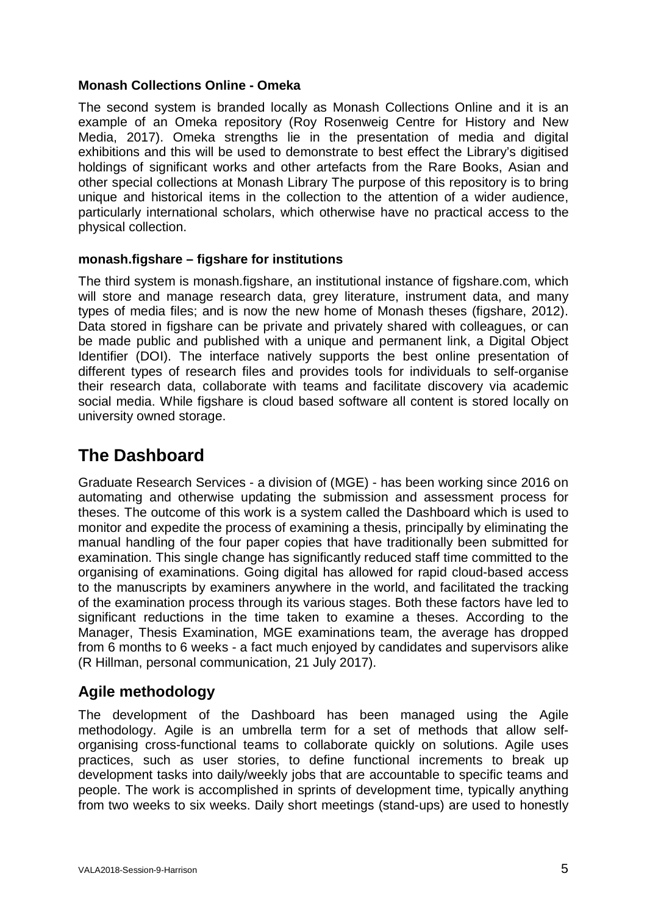### **Monash Collections Online - Omeka**

The second system is branded locally as Monash Collections Online and it is an example of an Omeka repository (Roy Rosenweig Centre for History and New Media, 2017). Omeka strengths lie in the presentation of media and digital exhibitions and this will be used to demonstrate to best effect the Library's digitised holdings of significant works and other artefacts from the Rare Books, Asian and other special collections at Monash Library The purpose of this repository is to bring unique and historical items in the collection to the attention of a wider audience, particularly international scholars, which otherwise have no practical access to the physical collection.

### **monash.figshare – figshare for institutions**

The third system is monash.figshare, an institutional instance of figshare.com, which will store and manage research data, grey literature, instrument data, and many types of media files; and is now the new home of Monash theses (figshare, 2012). Data stored in figshare can be private and privately shared with colleagues, or can be made public and published with a unique and permanent link, a Digital Object Identifier (DOI). The interface natively supports the best online presentation of different types of research files and provides tools for individuals to self-organise their research data, collaborate with teams and facilitate discovery via academic social media. While figshare is cloud based software all content is stored locally on university owned storage.

# **The Dashboard**

Graduate Research Services - a division of (MGE) - has been working since 2016 on automating and otherwise updating the submission and assessment process for theses. The outcome of this work is a system called the Dashboard which is used to monitor and expedite the process of examining a thesis, principally by eliminating the manual handling of the four paper copies that have traditionally been submitted for examination. This single change has significantly reduced staff time committed to the organising of examinations. Going digital has allowed for rapid cloud-based access to the manuscripts by examiners anywhere in the world, and facilitated the tracking of the examination process through its various stages. Both these factors have led to significant reductions in the time taken to examine a theses. According to the Manager, Thesis Examination, MGE examinations team, the average has dropped from 6 months to 6 weeks - a fact much enjoyed by candidates and supervisors alike (R Hillman, personal communication, 21 July 2017).

## **Agile methodology**

The development of the Dashboard has been managed using the Agile methodology. Agile is an umbrella term for a set of methods that allow selforganising cross-functional teams to collaborate quickly on solutions. Agile uses practices, such as user stories, to define functional increments to break up development tasks into daily/weekly jobs that are accountable to specific teams and people. The work is accomplished in sprints of development time, typically anything from two weeks to six weeks. Daily short meetings (stand-ups) are used to honestly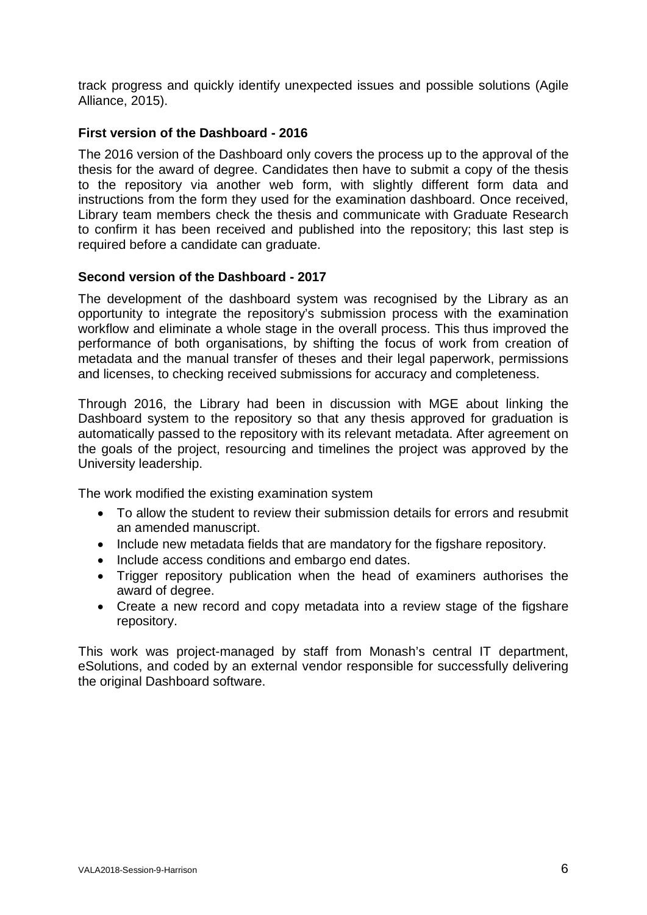track progress and quickly identify unexpected issues and possible solutions (Agile Alliance, 2015).

### **First version of the Dashboard - 2016**

The 2016 version of the Dashboard only covers the process up to the approval of the thesis for the award of degree. Candidates then have to submit a copy of the thesis to the repository via another web form, with slightly different form data and instructions from the form they used for the examination dashboard. Once received, Library team members check the thesis and communicate with Graduate Research to confirm it has been received and published into the repository; this last step is required before a candidate can graduate.

### **Second version of the Dashboard - 2017**

The development of the dashboard system was recognised by the Library as an opportunity to integrate the repository's submission process with the examination workflow and eliminate a whole stage in the overall process. This thus improved the performance of both organisations, by shifting the focus of work from creation of metadata and the manual transfer of theses and their legal paperwork, permissions and licenses, to checking received submissions for accuracy and completeness.

Through 2016, the Library had been in discussion with MGE about linking the Dashboard system to the repository so that any thesis approved for graduation is automatically passed to the repository with its relevant metadata. After agreement on the goals of the project, resourcing and timelines the project was approved by the University leadership.

The work modified the existing examination system

- To allow the student to review their submission details for errors and resubmit an amended manuscript.
- Include new metadata fields that are mandatory for the figshare repository.
- Include access conditions and embargo end dates.
- Trigger repository publication when the head of examiners authorises the award of degree.
- Create a new record and copy metadata into a review stage of the figshare repository.

This work was project-managed by staff from Monash's central IT department, eSolutions, and coded by an external vendor responsible for successfully delivering the original Dashboard software.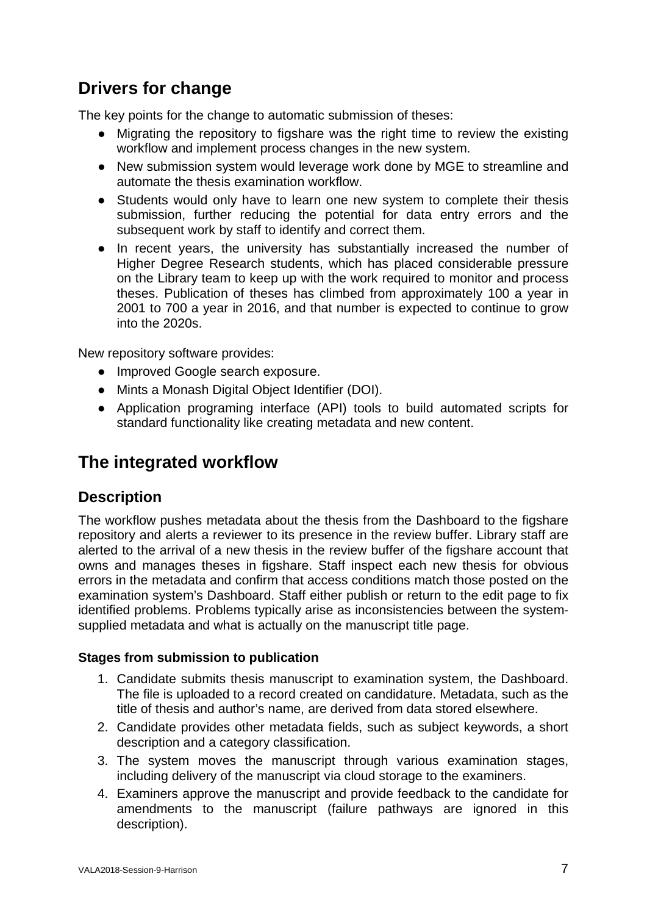# **Drivers for change**

The key points for the change to automatic submission of theses:

- Migrating the repository to figshare was the right time to review the existing workflow and implement process changes in the new system.
- New submission system would leverage work done by MGE to streamline and automate the thesis examination workflow.
- Students would only have to learn one new system to complete their thesis submission, further reducing the potential for data entry errors and the subsequent work by staff to identify and correct them.
- In recent years, the university has substantially increased the number of Higher Degree Research students, which has placed considerable pressure on the Library team to keep up with the work required to monitor and process theses. Publication of theses has climbed from approximately 100 a year in 2001 to 700 a year in 2016, and that number is expected to continue to grow into the 2020s.

New repository software provides:

- Improved Google search exposure.
- Mints a Monash Digital Object Identifier (DOI).
- Application programing interface (API) tools to build automated scripts for standard functionality like creating metadata and new content.

## **The integrated workflow**

## **Description**

The workflow pushes metadata about the thesis from the Dashboard to the figshare repository and alerts a reviewer to its presence in the review buffer. Library staff are alerted to the arrival of a new thesis in the review buffer of the figshare account that owns and manages theses in figshare. Staff inspect each new thesis for obvious errors in the metadata and confirm that access conditions match those posted on the examination system's Dashboard. Staff either publish or return to the edit page to fix identified problems. Problems typically arise as inconsistencies between the systemsupplied metadata and what is actually on the manuscript title page.

### **Stages from submission to publication**

- 1. Candidate submits thesis manuscript to examination system, the Dashboard. The file is uploaded to a record created on candidature. Metadata, such as the title of thesis and author's name, are derived from data stored elsewhere.
- 2. Candidate provides other metadata fields, such as subject keywords, a short description and a category classification.
- 3. The system moves the manuscript through various examination stages, including delivery of the manuscript via cloud storage to the examiners.
- 4. Examiners approve the manuscript and provide feedback to the candidate for amendments to the manuscript (failure pathways are ignored in this description).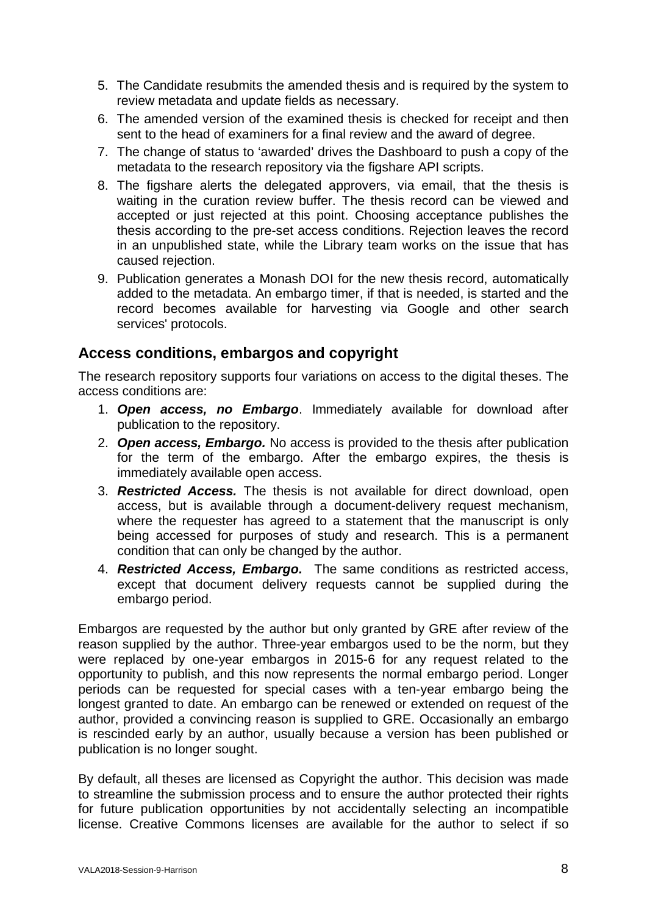- 5. The Candidate resubmits the amended thesis and is required by the system to review metadata and update fields as necessary.
- 6. The amended version of the examined thesis is checked for receipt and then sent to the head of examiners for a final review and the award of degree.
- 7. The change of status to 'awarded' drives the Dashboard to push a copy of the metadata to the research repository via the figshare API scripts.
- 8. The figshare alerts the delegated approvers, via email, that the thesis is waiting in the curation review buffer. The thesis record can be viewed and accepted or just rejected at this point. Choosing acceptance publishes the thesis according to the pre-set access conditions. Rejection leaves the record in an unpublished state, while the Library team works on the issue that has caused rejection.
- 9. Publication generates a Monash DOI for the new thesis record, automatically added to the metadata. An embargo timer, if that is needed, is started and the record becomes available for harvesting via Google and other search services' protocols.

## **Access conditions, embargos and copyright**

The research repository supports four variations on access to the digital theses. The access conditions are:

- 1. *Open access, no Embargo*. Immediately available for download after publication to the repository.
- 2. *Open access, Embargo.* No access is provided to the thesis after publication for the term of the embargo. After the embargo expires, the thesis is immediately available open access.
- 3. *Restricted Access.* The thesis is not available for direct download, open access, but is available through a document-delivery request mechanism, where the requester has agreed to a statement that the manuscript is only being accessed for purposes of study and research. This is a permanent condition that can only be changed by the author.
- 4. *Restricted Access, Embargo.* The same conditions as restricted access, except that document delivery requests cannot be supplied during the embargo period.

Embargos are requested by the author but only granted by GRE after review of the reason supplied by the author. Three-year embargos used to be the norm, but they were replaced by one-year embargos in 2015-6 for any request related to the opportunity to publish, and this now represents the normal embargo period. Longer periods can be requested for special cases with a ten-year embargo being the longest granted to date. An embargo can be renewed or extended on request of the author, provided a convincing reason is supplied to GRE. Occasionally an embargo is rescinded early by an author, usually because a version has been published or publication is no longer sought.

By default, all theses are licensed as Copyright the author. This decision was made to streamline the submission process and to ensure the author protected their rights for future publication opportunities by not accidentally selecting an incompatible license. Creative Commons licenses are available for the author to select if so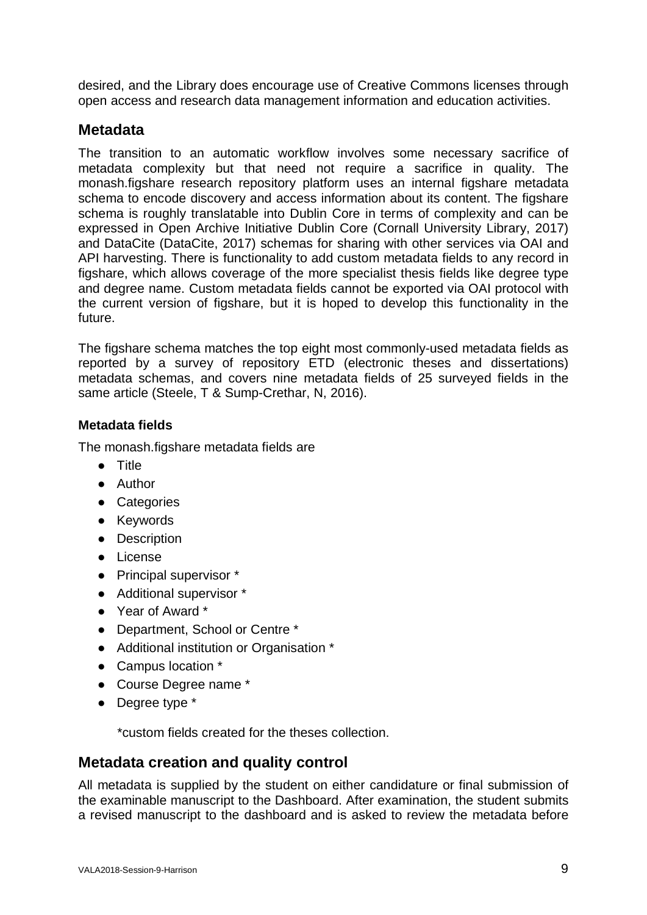desired, and the Library does encourage use of Creative Commons licenses through open access and research data management information and education activities.

### **Metadata**

The transition to an automatic workflow involves some necessary sacrifice of metadata complexity but that need not require a sacrifice in quality. The monash.figshare research repository platform uses an internal figshare metadata schema to encode discovery and access information about its content. The figshare schema is roughly translatable into Dublin Core in terms of complexity and can be expressed in Open Archive Initiative Dublin Core (Cornall University Library, 2017) and DataCite (DataCite, 2017) schemas for sharing with other services via OAI and API harvesting. There is functionality to add custom metadata fields to any record in figshare, which allows coverage of the more specialist thesis fields like degree type and degree name. Custom metadata fields cannot be exported via OAI protocol with the current version of figshare, but it is hoped to develop this functionality in the future.

The figshare schema matches the top eight most commonly-used metadata fields as reported by a survey of repository ETD (electronic theses and dissertations) metadata schemas, and covers nine metadata fields of 25 surveyed fields in the same article (Steele, T & Sump-Crethar, N, 2016).

### **Metadata fields**

The monash.figshare metadata fields are

- Title
- Author
- Categories
- Keywords
- Description
- License
- Principal supervisor \*
- Additional supervisor \*
- Year of Award \*
- Department, School or Centre \*
- Additional institution or Organisation <sup>\*</sup>
- Campus location \*
- Course Degree name \*
- Degree type \*

\*custom fields created for the theses collection.

## **Metadata creation and quality control**

All metadata is supplied by the student on either candidature or final submission of the examinable manuscript to the Dashboard. After examination, the student submits a revised manuscript to the dashboard and is asked to review the metadata before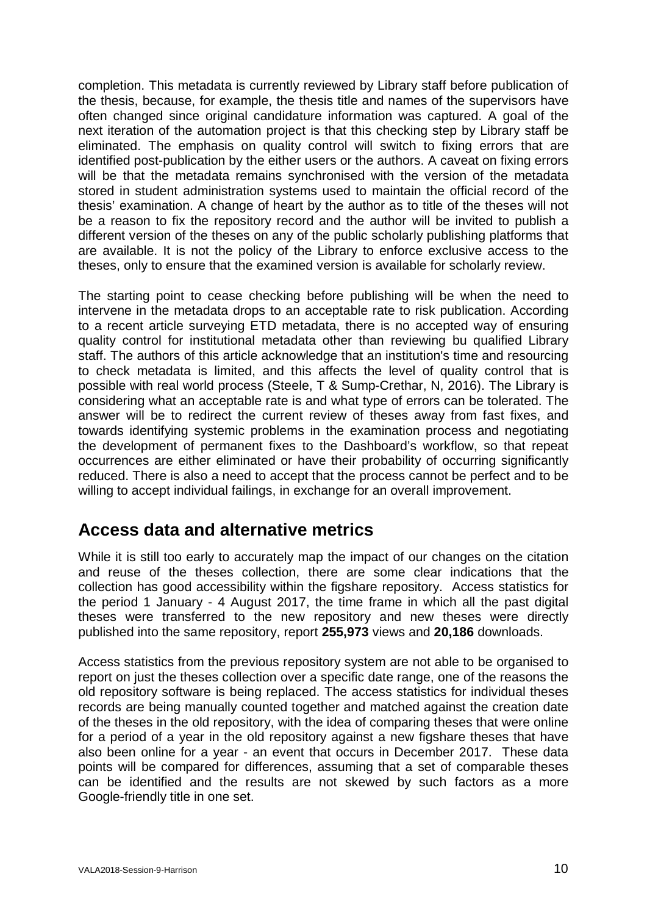completion. This metadata is currently reviewed by Library staff before publication of the thesis, because, for example, the thesis title and names of the supervisors have often changed since original candidature information was captured. A goal of the next iteration of the automation project is that this checking step by Library staff be eliminated. The emphasis on quality control will switch to fixing errors that are identified post-publication by the either users or the authors. A caveat on fixing errors will be that the metadata remains synchronised with the version of the metadata stored in student administration systems used to maintain the official record of the thesis' examination. A change of heart by the author as to title of the theses will not be a reason to fix the repository record and the author will be invited to publish a different version of the theses on any of the public scholarly publishing platforms that are available. It is not the policy of the Library to enforce exclusive access to the theses, only to ensure that the examined version is available for scholarly review.

The starting point to cease checking before publishing will be when the need to intervene in the metadata drops to an acceptable rate to risk publication. According to a recent article surveying ETD metadata, there is no accepted way of ensuring quality control for institutional metadata other than reviewing bu qualified Library staff. The authors of this article acknowledge that an institution's time and resourcing to check metadata is limited, and this affects the level of quality control that is possible with real world process (Steele, T & Sump-Crethar, N, 2016). The Library is considering what an acceptable rate is and what type of errors can be tolerated. The answer will be to redirect the current review of theses away from fast fixes, and towards identifying systemic problems in the examination process and negotiating the development of permanent fixes to the Dashboard's workflow, so that repeat occurrences are either eliminated or have their probability of occurring significantly reduced. There is also a need to accept that the process cannot be perfect and to be willing to accept individual failings, in exchange for an overall improvement.

# **Access data and alternative metrics**

While it is still too early to accurately map the impact of our changes on the citation and reuse of the theses collection, there are some clear indications that the collection has good accessibility within the figshare repository. Access statistics for the period 1 January - 4 August 2017, the time frame in which all the past digital theses were transferred to the new repository and new theses were directly published into the same repository, report **255,973** views and **20,186** downloads.

Access statistics from the previous repository system are not able to be organised to report on just the theses collection over a specific date range, one of the reasons the old repository software is being replaced. The access statistics for individual theses records are being manually counted together and matched against the creation date of the theses in the old repository, with the idea of comparing theses that were online for a period of a year in the old repository against a new figshare theses that have also been online for a year - an event that occurs in December 2017. These data points will be compared for differences, assuming that a set of comparable theses can be identified and the results are not skewed by such factors as a more Google-friendly title in one set.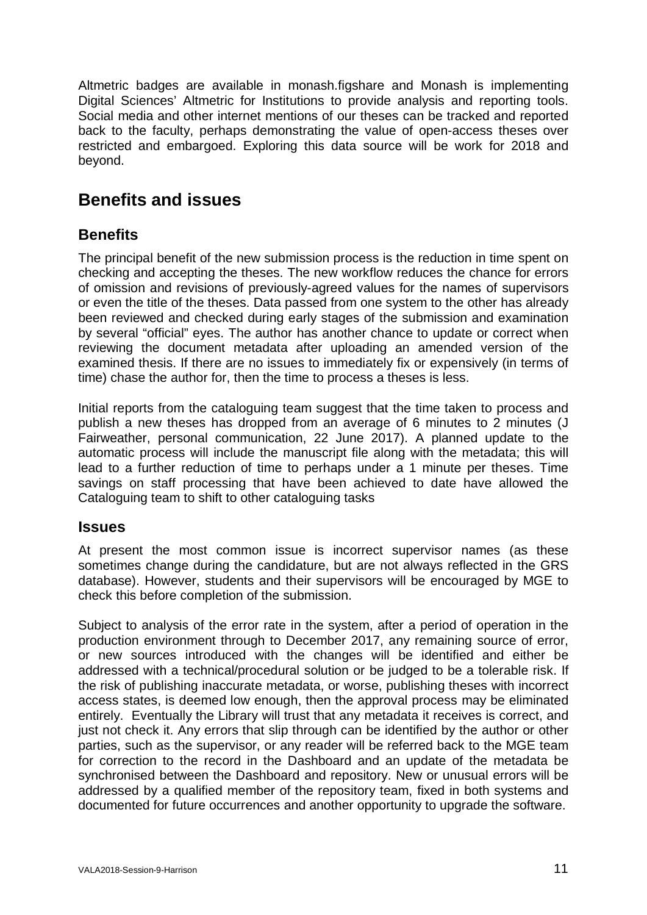Altmetric badges are available in monash.figshare and Monash is implementing Digital Sciences' Altmetric for Institutions to provide analysis and reporting tools. Social media and other internet mentions of our theses can be tracked and reported back to the faculty, perhaps demonstrating the value of open-access theses over restricted and embargoed. Exploring this data source will be work for 2018 and beyond.

# **Benefits and issues**

## **Benefits**

The principal benefit of the new submission process is the reduction in time spent on checking and accepting the theses. The new workflow reduces the chance for errors of omission and revisions of previously-agreed values for the names of supervisors or even the title of the theses. Data passed from one system to the other has already been reviewed and checked during early stages of the submission and examination by several "official" eyes. The author has another chance to update or correct when reviewing the document metadata after uploading an amended version of the examined thesis. If there are no issues to immediately fix or expensively (in terms of time) chase the author for, then the time to process a theses is less.

Initial reports from the cataloguing team suggest that the time taken to process and publish a new theses has dropped from an average of 6 minutes to 2 minutes (J Fairweather, personal communication, 22 June 2017). A planned update to the automatic process will include the manuscript file along with the metadata; this will lead to a further reduction of time to perhaps under a 1 minute per theses. Time savings on staff processing that have been achieved to date have allowed the Cataloguing team to shift to other cataloguing tasks

## **Issues**

At present the most common issue is incorrect supervisor names (as these sometimes change during the candidature, but are not always reflected in the GRS database). However, students and their supervisors will be encouraged by MGE to check this before completion of the submission.

Subject to analysis of the error rate in the system, after a period of operation in the production environment through to December 2017, any remaining source of error, or new sources introduced with the changes will be identified and either be addressed with a technical/procedural solution or be judged to be a tolerable risk. If the risk of publishing inaccurate metadata, or worse, publishing theses with incorrect access states, is deemed low enough, then the approval process may be eliminated entirely. Eventually the Library will trust that any metadata it receives is correct, and just not check it. Any errors that slip through can be identified by the author or other parties, such as the supervisor, or any reader will be referred back to the MGE team for correction to the record in the Dashboard and an update of the metadata be synchronised between the Dashboard and repository. New or unusual errors will be addressed by a qualified member of the repository team, fixed in both systems and documented for future occurrences and another opportunity to upgrade the software.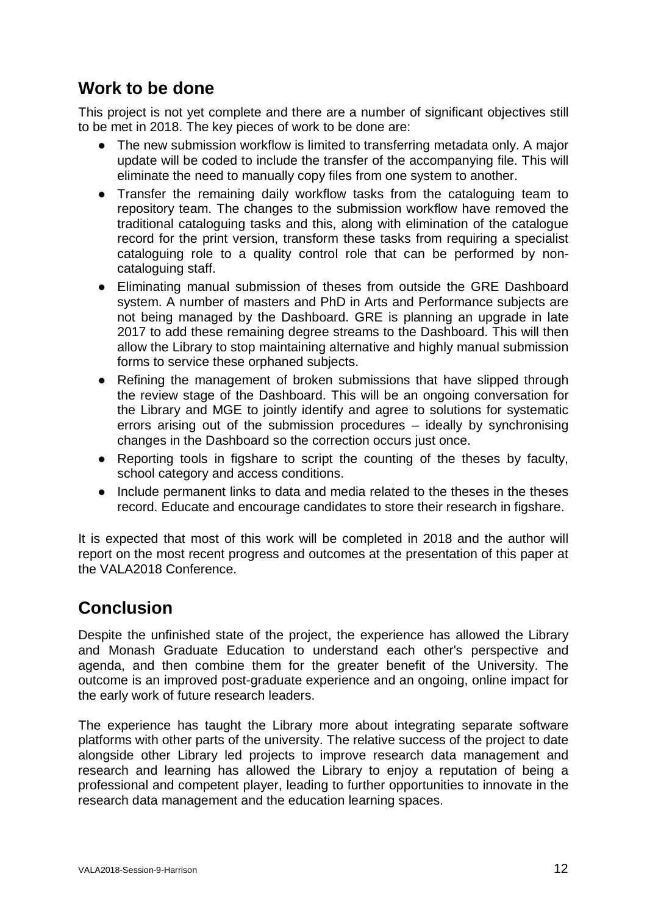# **Work to be done**

This project is not yet complete and there are a number of significant objectives still to be met in 2018. The key pieces of work to be done are:

- The new submission workflow is limited to transferring metadata only. A major update will be coded to include the transfer of the accompanying file. This will eliminate the need to manually copy files from one system to another.
- Transfer the remaining daily workflow tasks from the cataloguing team to repository team. The changes to the submission workflow have removed the traditional cataloguing tasks and this, along with elimination of the catalogue record for the print version, transform these tasks from requiring a specialist cataloguing role to a quality control role that can be performed by noncataloguing staff.
- Eliminating manual submission of theses from outside the GRE Dashboard system. A number of masters and PhD in Arts and Performance subjects are not being managed by the Dashboard. GRE is planning an upgrade in late 2017 to add these remaining degree streams to the Dashboard. This will then allow the Library to stop maintaining alternative and highly manual submission forms to service these orphaned subjects.
- Refining the management of broken submissions that have slipped through the review stage of the Dashboard. This will be an ongoing conversation for the Library and MGE to jointly identify and agree to solutions for systematic errors arising out of the submission procedures – ideally by synchronising changes in the Dashboard so the correction occurs just once.
- Reporting tools in figshare to script the counting of the theses by faculty, school category and access conditions.
- Include permanent links to data and media related to the theses in the theses record. Educate and encourage candidates to store their research in figshare.

It is expected that most of this work will be completed in 2018 and the author will report on the most recent progress and outcomes at the presentation of this paper at the VALA2018 Conference.

# **Conclusion**

Despite the unfinished state of the project, the experience has allowed the Library and Monash Graduate Education to understand each other's perspective and agenda, and then combine them for the greater benefit of the University. The outcome is an improved post-graduate experience and an ongoing, online impact for the early work of future research leaders.

The experience has taught the Library more about integrating separate software platforms with other parts of the university. The relative success of the project to date alongside other Library led projects to improve research data management and research and learning has allowed the Library to enjoy a reputation of being a professional and competent player, leading to further opportunities to innovate in the research data management and the education learning spaces.